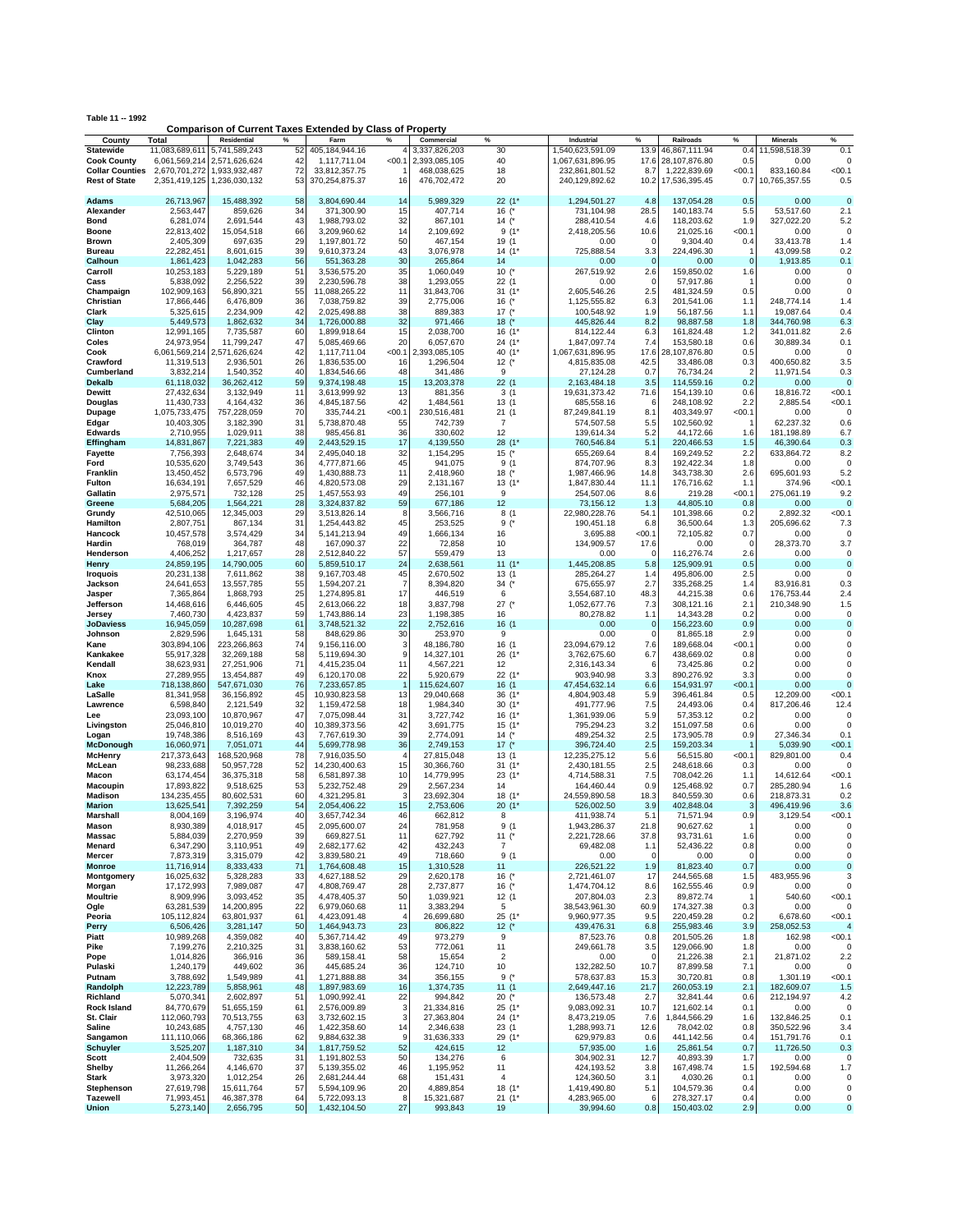|                                 |                           | <b>Comparison of Current Taxes Extended by Class of Property</b> |                               |                   |                             |                   |                                |                 |                            |                     |                                  |                  |
|---------------------------------|---------------------------|------------------------------------------------------------------|-------------------------------|-------------------|-----------------------------|-------------------|--------------------------------|-----------------|----------------------------|---------------------|----------------------------------|------------------|
| County<br><b>Statewide</b>      | Total<br>11,083,689,611   | Residential<br>%<br>5,741,589,243<br>52                          | Farm<br>405.184.944.16        | %                 | Commercial<br>3,337,826,203 | %<br>30           | Industrial<br>1,540,623,591.09 | %<br>13.9       | Railroads<br>46,867,111.94 | %<br>0.4            | <b>Minerals</b><br>11,598,518.39 | %<br>0.1         |
| <b>Cook County</b>              |                           | 6,061,569,214 2,571,626,624<br>42                                | 1,117,711.04                  | < 00.1            | 2,393,085,105               | 40                | 1,067,631,896.95               | 17.6            | 28,107,876.80              | 0.5                 | 0.00                             |                  |
| <b>Collar Counties</b>          |                           | 72<br>2,670,701,272 1,933,932,487                                | 33,812,357.75                 |                   | 468,038,625                 | 18                | 232,861,801.52                 | 8.7             | 1,222,839.69               | <00.1               | 833.160.84                       | < 00.1           |
| <b>Rest of State</b>            | 2,351,419,125             | 53<br>1,236,030,132                                              | 370,254,875.37                | 16                | 476,702,472                 | 20                | 240,129,892.62                 | 10.2            | 17,536,395.45              | 0.7                 | 10,765,357.55                    | 0.5              |
|                                 |                           |                                                                  |                               |                   |                             |                   |                                |                 |                            |                     |                                  |                  |
| Adams                           | 26,713,967                | 15,488,392<br>58                                                 | 3,804,690.44                  | 14                | 5,989,329                   | 22(1"             | 1,294,501.27                   | 4.8             | 137,054.28                 | 0.5                 | 0.00                             | $\Omega$         |
| Alexander                       | 2,563,447                 | 34<br>859,626                                                    | 371.300.90                    | 15                | 407,714                     | 16 $($ *          | 731,104.98                     | 28.5            | 140,183.74                 | 5.5                 | 53,517.60                        | 2.1              |
| Bond                            | 6,281,074                 | 43<br>2,691,544                                                  | 1,988,793.02                  | 32                | 867,101                     | 14 $($ *          | 288,410.54                     | 4.6             | 118,203.62                 | 1.9                 | 327,022.20                       | 5.2              |
| Boone                           | 22,813,402                | 66<br>15,054,518                                                 | 3,209,960.62                  | 14                | 2,109,692                   | $9(1*$            | 2,418,205.56                   | 10.6            | 21,025.16                  | < 00.1              | 0.00                             | $\Omega$         |
| Brown                           | 2,405,309                 | 697,635<br>29                                                    | 1,197,801.72                  | 50                | 467,154                     | 19 (1             | 0.00                           | $\Omega$        | 9,304.40                   | 0.4                 | 33,413.78                        | 1.4              |
| <b>Bureau</b>                   | 22,282,451                | 8,601,615<br>39                                                  | 9,610,373.24                  | 43<br>30          | 3,076,978                   | $14(1*$           | 725,888.54                     | 3.3             | 224,496.30                 | $\Omega$            | 43,099.58                        | 0.2              |
| Calhoun<br>Carroll              | 1,861,423<br>10,253,183   | 56<br>1,042,283<br>51<br>5,229,189                               | 551,363.28<br>3,536,575.20    | 35                | 265,864<br>1,060,049        | 14<br>10 $(^{*}$  | 0.00<br>267,519.92             | $\Omega$<br>2.6 | 0.00<br>159,850.02         | 1.6                 | 1,913.85<br>0.00                 | 0.1<br>0         |
| Cass                            | 5,838,092                 | 2,256,522<br>39                                                  | 2,230,596.78                  | 38                | 1,293,055                   | 22(1)             | 0.00                           | $\Omega$        | 57,917.86                  | $\overline{1}$      | 0.00                             | $\Omega$         |
| Champaign                       | 102,909,163               | 55<br>56,890,321                                                 | 11,088,265.22                 | 11                | 31,843,706                  | 31(1'             | 2,605,546.26                   | 2.5             | 481,324.59                 | 0.5                 | 0.00                             | $\Omega$         |
| Christian                       | 17,866,446                | 36<br>6,476,809                                                  | 7,038,759.82                  | 39                | 2,775,006                   | 16 $(^{*}$        | 1,125,555.82                   | 6.3             | 201,541.06                 | 1.1                 | 248,774.14                       | 1.4              |
| Clark                           | 5,325,615                 | 2,234,909<br>42                                                  | 2,025,498.88                  | 38                | 889,383                     | $17$ $($          | 100,548.92                     | 1.9             | 56,187.56                  | 1.1                 | 19.087.64                        | 0.4              |
| Clay                            | 5,449,573                 | 34<br>1,862,632                                                  | 1,726,000.88                  | 32                | 971,466                     | $18$ (*           | 445,826.44                     | 8.2             | 98,887.58                  | 1.8                 | 344,760.98                       | 6.3              |
| Clinton                         | 12,991,165                | 60<br>7,735,587                                                  | 1,899,918.64                  | 15                | 2,038,700                   | 16 (1*            | 814,122.44                     | 6.3             | 161,824.48                 | 1.2                 | 341,011.82                       | 2.6              |
| Coles                           | 24,973,954                | 11,799,247<br>47                                                 | 5,085,469.66                  | 20                | 6,057,670                   | 24 (1*            | 1,847,097.74                   | 7.4             | 153,580.18                 | 0.6                 | 30,889.34                        | 0.1              |
| Cook                            |                           | 42<br>6,061,569,214 2,571,626,624                                | 1,117,711.04                  | <00.1             | 2,393,085,105               | 40 (1*            | 1,067,631,896.95               | 17.6            | 28,107,876.80              | 0.5                 | 0.00                             | $\Omega$         |
| Crawford                        | 11,319,513                | 26<br>2,936,501                                                  | 1,836,535.00                  | 16                | 1,296,504                   | 12 $(^{*}$        | 4,815,835.08                   | 42.5            | 33,486.08                  | 0.3                 | 400,650.82                       | 3.5              |
| Cumberland                      | 3,832,214                 | 1,540,352<br>40                                                  | 1,834,546.66                  | 48                | 341,486                     | 9                 | 27,124.28                      | 0.7             | 76,734.24                  | $\overline{2}$      | 11,971.54                        | 0.3              |
| Dekalb<br>Dewitt                | 61,118,032                | 36,262,412<br>59<br>11                                           | 9,374,198.48                  | 15<br>13          | 13,203,378                  | 22(1)             | 2,163,484.18                   | 3.5             | 114,559.16                 | 0.2                 | 0.00                             | $\Omega$<br>00.1 |
| Douglas                         | 27,432,634<br>11,430,733  | 3,132,949<br>36<br>4,164,432                                     | 3,613,999.92<br>4,845,187.56  | 42                | 881,356<br>1,484,561        | 3(1)<br>13 (1     | 19,631,373.42<br>685,558.16    | 71.6<br>6       | 154,139.10<br>248,108.92   | 0.6<br>2.2          | 18,816.72<br>2,885.54            | < 00.1           |
| Dupage                          | 1,075,733,475             | 70<br>757,228,059                                                | 335,744.21                    | < 00.1            | 230,516,481                 | 21(1)             | 87,249,841.19                  | 8.1             | 403,349.97                 | < 00.1              | 0.00                             | $\Omega$         |
| Edgar                           | 10,403,305                | 31<br>3,182,390                                                  | 5,738,870.48                  | 55                | 742,739                     | $\overline{7}$    | 574,507.58                     | 5.5             | 102,560.92                 |                     | 62,237.32                        | 0.6              |
| <b>Edwards</b>                  | 2,710,955                 | 1,029,911<br>38                                                  | 985,456.81                    | 36                | 330,602                     | 12                | 139,614.34                     | 5.2             | 44,172.66                  | 1.6                 | 181.198.89                       | 6.7              |
| Effingham                       | 14,831,867                | 7,221,383<br>49                                                  | 2,443,529.15                  | 17                | 4,139,550                   | 28(1'             | 760,546.84                     | 5.1             | 220,466.53                 | 1.5                 | 46,390.64                        | 0.3              |
| <b>Fayette</b>                  | 7,756,393                 | 34<br>2,648,674                                                  | 2,495,040.18                  | 32                | 1,154,295                   | $15$ (*           | 655,269.64                     | 8.4             | 169,249.52                 | 2.2                 | 633,864.72                       | 8.2              |
| Ford                            | 10,535,620                | 3,749,543<br>36                                                  | 4,777,871.66                  | 45                | 941,075                     | 9(1)              | 874,707.96                     | 8.3             | 192,422.34                 | 1.8                 | 0.00                             | $\Omega$         |
| <b>Franklin</b>                 | 13,450,452                | 6,573,796<br>49                                                  | 1,430,888.73                  | 11                | 2,418,960                   | $18$ $($          | 1,987,466.96                   | 14.8            | 343,738.30                 | 2.6                 | 695,601.93                       | 5.2              |
| Fulton                          | 16,634,191                | 46<br>7,657,529                                                  | 4,820,573.08                  | 29                | 2,131,167                   | $13(1*$           | 1,847,830.44                   | 11.1            | 176,716.62                 | 1.1                 | 374.96                           | < 00.1           |
| Gallatin<br>Greene              | 2.975.571                 | 25<br>732,128<br>28                                              | 1,457,553.93                  | 49<br>59          | 256,101                     | 9<br>12           | 254,507.06                     | 8.6<br>1.3      | 219.28<br>44,805.10        | < 00.1<br>0.8       | 275,061.19<br>0.00               | 9.2<br>$\Omega$  |
| Grundy                          | 5,684,205<br>42,510,065   | 1,564,221<br>29<br>12,345,003                                    | 3,324,837.82<br>3,513,826.14  | 8                 | 677,186<br>3,566,716        | 8(1)              | 73,156.12<br>22,980,228.76     | 54.1            | 101,398.66                 | 0.2                 | 2,892.32                         | 00.1             |
| Hamilton                        | 2,807,751                 | 31<br>867,134                                                    | 1,254,443.82                  | 45                | 253,525                     | 9(                | 190,451.18                     | 6.8             | 36,500.64                  | 1.3                 | 205,696.62                       | 7.3              |
| Hancock                         | 10,457,578                | 3,574,429<br>34                                                  | 5, 141, 213. 94               | 49                | 1,666,134                   | 16                | 3,695.88                       | < 00.1          | 72,105.82                  | 0.7                 | 0.00                             | $\Omega$         |
| Hardin                          | 768,019                   | 48<br>364,787                                                    | 167,090.37                    | 22                | 72,858                      | 10                | 134,909.57                     | 17.6            | 0.00                       | $\Omega$            | 28,373.70                        | 3.7              |
| Henderson                       | 4,406,252                 | 28<br>1,217,657                                                  | 2,512,840.22                  | 57                | 559,479                     | 13                | 0.00                           |                 | 116,276.74                 | 2.6                 | 0.00                             | 0                |
| Henry                           | 24,859,195                | 60<br>14,790,005                                                 | 5,859,510.17                  | 24                | 2,638,561                   | $11(1*$           | 1,445,208.85                   | 5.8             | 125.909.91                 | 0.5                 | 0.00                             | $\Omega$         |
| Iroquois                        | 20,231,138                | 38<br>7,611,862                                                  | 9,167,703.48                  | 45                | 2,670,502                   | 13 (1             | 285,264.27                     | 1.4             | 495,806.00                 | 2.5                 | 0.00                             | $\Omega$         |
| Jackson                         | 24,641,653                | 55<br>13,557,785                                                 | 1,594,207.21                  | $\overline{7}$    | 8,394,820                   | $34$ (*           | 675,655.97                     | 2.7             | 335,268.25                 | 1.4                 | 83,916.81                        | 0.3              |
| Jasper                          | 7,365,864                 | 25<br>1,868,793                                                  | 1,274,895.81                  | 17                | 446,519                     | 6                 | 3,554,687.10                   | 48.3            | 44,215.38                  | 0.6                 | 176,753.44                       | 2.4              |
| Jefferson                       | 14,468,616                | 45<br>6,446,605<br>59                                            | 2,613,066.22                  | 18<br>23          | 3,837,798                   | $27$ (*           | 1,052,677.76                   | 7.3<br>1.1      | 308,121.16                 | 2.1<br>0.2          | 210,348.90<br>0.00               | 1.5<br>0         |
| Jersey<br><b>JoDaviess</b>      | 7,460,730<br>16,945,059   | 4,423,837<br>61<br>10,287,698                                    | 1,743,886.14<br>3,748,521.32  | 22                | 1,198,385<br>2,752,616      | 16<br>16 (1       | 80,278.82<br>0.00              | 0               | 14,343.28<br>156,223.60    | 0.9                 | 0.00                             | 0                |
| Johnson                         | 2,829,596                 | 58<br>1,645,131                                                  | 848,629.86                    | 30                | 253,970                     | 9                 | 0.00                           | $\Omega$        | 81,865.18                  | 2.9                 | 0.00                             | $\Omega$         |
| Kane                            | 303,894,106               | 74<br>223,266,863                                                | 9,156,116.00                  | 3                 | 48,186,780                  | 16 (1             | 23,094,679.12                  | 7.6             | 189,668.04                 | <00.1               | 0.00                             | $\Omega$         |
| Kankakee                        | 55,917,328                | 58<br>32,269,188                                                 | 5,119,694.30                  | 9                 | 14,327,101                  | 26(1)             | 3,762,675.60                   | 6.7             | 438,669.02                 | 0.8                 | 0.00                             |                  |
| Kendall                         | 38,623,931                | 27,251,906<br>71                                                 | 4,415,235.04                  | 11                | 4,567,221                   | 12                | 2,316,143.34                   | 6               | 73,425.86                  | 0.2                 | 0.00                             | $\Omega$         |
| Knox                            | 27,289,955                | 49<br>13,454,887                                                 | 6,120,170.08                  | 22                | 5,920,679                   | 22 (1*            | 903,940.98                     | 3.3             | 890,276.92                 | 3.3                 | 0.00                             | $\Omega$         |
| Lake                            | 718,138,860               | 76<br>547,671,030                                                | 7,233,657.85                  | 1                 | 115,624,607                 | 16 (1             | 47,454,632.14                  | 6.6             | 154,931.97                 | < 00.1              | 0.00                             |                  |
| LaSalle                         | 81,341,958                | 45<br>36,156,892                                                 | 10,930,823.58                 | 13                | 29,040,668                  | 36 (1*            | 4,804,903.48                   | 5.9             | 396,461.84                 | 0.5                 | 12,209.00                        | < 00.1           |
| Lawrence                        | 6,598,840                 | 32<br>2,121,549                                                  | 1,159,472.58                  | 18                | 1,984,340                   | $30(1*$           | 491,777.96                     | 7.5             | 24,493.06                  | 0.4                 | 817,206.46                       | 12.4<br>$\Omega$ |
| Lee<br>Livingston               | 23,093,100<br>25,046,810  | 10,870,967<br>47<br>10,019,270<br>40                             | 7,075,098.44<br>10,389,373.56 | 31<br>42          | 3,727,742<br>3,691,775      | 16 (1*<br>$15(1*$ | 1,361,939.06<br>795,294.23     | 5.9<br>3.2      | 57,353.12<br>151,097.58    | 0.2<br>0.6          | 0.00<br>0.00                     | $\Omega$         |
| Logan                           | 19,748,386                | 43<br>8,516,169                                                  | 7,767,619.30                  | 39                | 2,774,091                   | 14 $($ *          | 489,254.32                     | 2.5             | 173,905.78                 | 0.9                 | 27,346.34                        | 0.1              |
| McDonough                       | 16,060,971                | 44<br>7,051,071                                                  | 5,699,778.98                  | 36                | 2.749.153                   | $17$ $($          | 396,724.40                     | 2.5             | 159,203.34                 |                     | 5,039.90                         | < 00.1           |
| <b>McHenry</b>                  | 217,373,643               | 78<br>168,520,968                                                | 7,916,035.50                  | $\overline{4}$    | 27,815,048                  | 13(1)             | 12,235,275.12                  | 5.6             | 56,515.80                  | < 00.1              | 829,801.00                       | 0.4              |
| McLean                          | 98,233,688                | 52<br>50,957,728                                                 | 14,230,400.63                 | 15                | 30,366,760                  | $31(1*$           | 2,430,181.55                   | 2.5             | 248,618.66                 | 0.3                 | 0.00                             |                  |
| Macon                           | 63,174,454                | 58<br>36,375,318                                                 | 6,581,897.38                  | 10                | 14,779,995                  | 23 (1*            | 4,714,588.31                   | 7.5             | 708,042.26                 | 1.1                 | 14,612.64                        | 00.1             |
| Macoupin                        | 17,893,822                | 9,518,625<br>53                                                  | 5,232,752.48                  | 29                | 2,567,234                   | 14                | 164,460.44                     | 0.9             | 125,468.92                 | 0.7                 | 285.280.94                       | 1.6              |
| Madison                         | 134,235,455               | 60<br>80,602,531                                                 | 4,321,295.81                  | 3                 | 23,692,304                  | 18 (1*            | 24,559,890.58                  | 18.3            | 840,559.30                 | 0.6                 | 218,873.31                       | 0.2              |
| <b>Marion</b><br>Marshall       | 13,625,541<br>8,004,169   | 54<br>7,392,259<br>3,196,974<br>40                               | 2,054,406.22<br>3,657,742.34  | 15<br>46          | 2,753,606<br>662,812        | 20(1)<br>8        | 526,002.50<br>411,938.74       | 3.9<br>5.1      | 402,848.04<br>71,571.94    | 3<br>0.9            | 496,419.96<br>3,129.54           | 3.6<br>< 00.1    |
| Mason                           | 8,930,389                 | 4,018,917<br>45                                                  | 2,095,600.07                  | 24                | 781,958                     | 9 (1              | 1,943,286.37                   | 21.8            | 90,627.62                  |                     | 0.00                             |                  |
| Massac                          | 5,884,039                 | 39<br>2,270,959                                                  | 669,827.51                    | 11                | 627,792                     | 11 $($ *          | 2,221,728.66                   | 37.8            | 93,731.61                  | 1.6                 | 0.00                             | 0                |
| Menard                          | 6,347,290                 | 3,110,951<br>49                                                  | 2,682,177.62                  | 42                | 432,243                     | $\overline{7}$    | 69,482.08                      | 1.1             | 52,436.22                  | 0.8                 | 0.00                             | 0                |
| Mercer                          | 7,873,319                 | 3,315,079<br>42                                                  | 3,839,580.21                  | 49                | 718,660                     | 9(1)              | 0.00                           | $\Omega$        | 0.00                       | $\mathbf 0$         | 0.00                             | 0                |
| <b>Monroe</b>                   | 11,716,914                | 8,333,433<br>71                                                  | 1,764,608.48                  | 15                | 1,310,528                   | 11                | 226,521.22                     | 1.9             | 81,823.40                  | 0.7                 | 0.00                             | 0                |
| Montgomery                      | 16,025,632                | 5,328,283<br>33                                                  | 4,627,188.52                  | 29                | 2,620,178                   | $16$ (*           | 2,721,461.07                   | 17              | 244,565.68                 | 1.5                 | 483,955.96                       | 3                |
| Morgan                          | 17,172,993                | 7,989,087<br>47                                                  | 4,808,769.47                  | 28                | 2,737,877                   | 16 $(^{*}$        | 1,474,704.12                   | 8.6             | 162,555.46                 | 0.9                 | 0.00                             | 0                |
| <b>Moultrie</b><br>Ogle         | 8,909,996<br>63,281,539   | 3,093,452<br>35<br>14,200,895<br>22                              | 4,478,405.37<br>6,979,060.68  | 50<br>11          | 1,039,921<br>3,383,294      | 12(1)<br>5        | 207,804.03<br>38,543,961.30    | 2.3<br>60.9     | 89,872.74<br>174,327.38    | $\mathbf{1}$<br>0.3 | 540.60<br>0.00                   | <00.1<br>0       |
| Peoria                          | 105,112,824               | 63,801,937<br>61                                                 | 4,423,091.48                  | $\overline{4}$    | 26,699,680                  | 25 (1*            | 9,960,977.35                   | 9.5             | 220,459.28                 | 0.2                 | 6,678.60                         | <00.1            |
| Perry                           | 6,506,426                 | 3,281,147<br>50                                                  | 1,464,943.73                  | 23                | 806,822                     | 12 $(^{*}$        | 439,476.31                     | 6.8             | 255,983.46                 | 3.9                 | 258,052.53                       | $\overline{4}$   |
| Piatt                           | 10,989,268                | 4,359,082<br>40                                                  | 5,367,714.42                  | 49                | 973,279                     | 9                 | 87,523.76                      | 0.8             | 201,505.26                 | 1.8                 | 162.98                           | < 00.1           |
| Pike                            | 7,199,276                 | 2,210,325<br>31                                                  | 3,838,160.62                  | 53                | 772,061                     | 11                | 249,661.78                     | 3.5             | 129,066.90                 | 1.8                 | 0.00                             | 0                |
| Pope                            | 1,014,826                 | 366,916<br>36                                                    | 589,158.41                    | 58                | 15,654                      | $\overline{c}$    | 0.00                           | 0               | 21,226.38                  | 2.1                 | 21,871.02                        | 2.2              |
| Pulaski                         | 1,240,179                 | 449,602<br>36                                                    | 445,685.24                    | 36                | 124,710                     | 10                | 132,282.50                     | 10.7            | 87,899.58                  | 7.1                 | 0.00                             | 0                |
| Putnam                          | 3,788,692                 | 1,549,989<br>41                                                  | 1,271,888.88                  | 34                | 356,155                     | $9$ (*            | 578,637.83                     | 15.3            | 30,720.81                  | 0.8                 | 1,301.19                         | <00.1            |
| Randolph                        | 12,223,789                | 5,858,961<br>48                                                  | 1,897,983.69                  | 16                | 1,374,735                   | 11(1)             | 2,649,447.16                   | 21.7            | 260,053.19                 | 2.1                 | 182,609.07                       | 1.5              |
| Richland                        | 5,070,341                 | 2,602,897<br>51                                                  | 1,090,992.41<br>2,576,009.89  | 22                | 994,842<br>21,334,816       | $20$ $($          | 136,573.48                     | 2.7             | 32,841.44                  | 0.6                 | 212,194.97                       | 4.2              |
| <b>Rock Island</b><br>St. Clair | 84,770,679<br>112,060,793 | 51,655,159<br>61<br>70,513,755<br>63                             | 3,732,602.15                  | 3<br>$\mathbf{3}$ | 27,363,804                  | 25 (1*<br>$24(1*$ | 9,083,092.31<br>8,473,219.05   | 10.7<br>7.6     | 121,602.14<br>1,844,566.29 | 0.1<br>1.6          | 0.00<br>132,846.25               | 0<br>0.1         |
| Saline                          | 10,243,685                | 4,757,130<br>46                                                  | 1,422,358.60                  | 14                | 2,346,638                   | 23(1)             | 1,288,993.71                   | 12.6            | 78,042.02                  | 0.8                 | 350,522.96                       | 3.4              |
| Sangamon                        | 111,110,066               | 68,366,186<br>62                                                 | 9,884,632.38                  | 9                 | 31,636,333                  | 29 (1*            | 629,979.83                     | 0.6             | 441,142.56                 | 0.4                 | 151,791.76                       | 0.1              |
| <b>Schuyler</b>                 | 3,525,207                 | 1,187,310<br>34                                                  | 1,817,759.52                  | 52                | 424,615                     | 12                | 57,935.00                      | 1.6             | 25,861.54                  | 0.7                 | 11,726.50                        | 0.3              |
| Scott                           | 2,404,509                 | 31<br>732,635                                                    | 1,191,802.53                  | 50                | 134,276                     | 6                 | 304,902.31                     | 12.7            | 40,893.39                  | 1.7                 | 0.00                             | 0                |
| <b>Shelby</b>                   | 11,266,264                | 4,146,670<br>37                                                  | 5,139,355.02                  | 46                | 1,195,952                   | 11                | 424,193.52                     | 3.8             | 167,498.74                 | 1.5                 | 192,594.68                       | 1.7              |
| Stark                           | 3,973,320                 | 26<br>1,012,254                                                  | 2,681,244.44                  | 68                | 151,431                     | 4                 | 124,360.50                     | 3.1             | 4,030.26                   | 0.1                 | 0.00                             | 0                |
| Stephenson<br><b>Tazewell</b>   | 27,619,798                | 57<br>15,611,764<br>46,387,378<br>64                             | 5,594,109.96<br>5,722,093.13  | 20<br>8           | 4,889,854<br>15,321,687     | 18 (1*<br>$21(1*$ | 1,419,490.80                   | 5.1<br>6        | 104,579.36                 | 0.4                 | 0.00<br>0.00                     | 0<br>0           |
| <b>Union</b>                    | 71,993,451<br>5,273,140   | 50<br>2,656,795                                                  | 1,432,104.50                  | 27                | 993,843                     | 19                | 4,283,965.00<br>39,994.60      | 0.8             | 278,327.17<br>150,403.02   | 0.4<br>2.9          | 0.00                             | $\mathbf 0$      |
|                                 |                           |                                                                  |                               |                   |                             |                   |                                |                 |                            |                     |                                  |                  |

**Table 11 -- 1992**